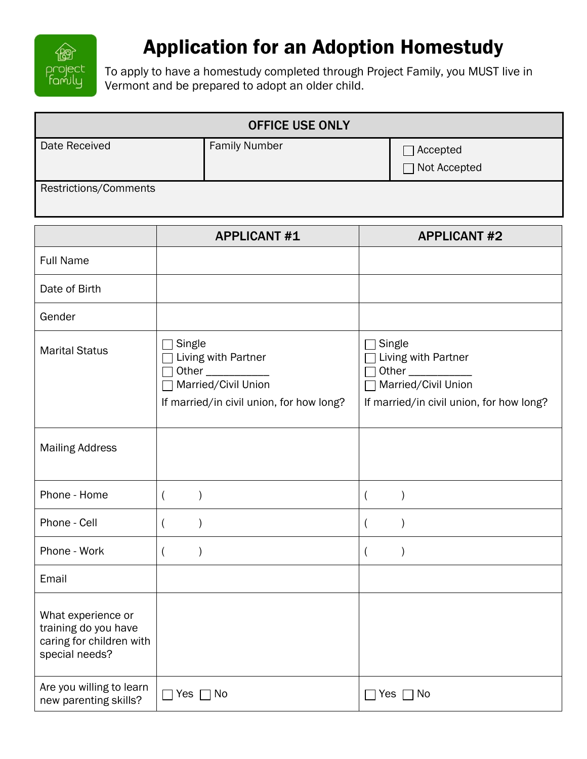

## Application for an Adoption Homestudy

To apply to have a homestudy completed through Project Family, you MUST live in Vermont and be prepared to adopt an older child.

| <b>OFFICE USE ONLY</b> |                      |                            |  |
|------------------------|----------------------|----------------------------|--|
| Date Received          | <b>Family Number</b> | Accepted<br>□ Not Accepted |  |
| Restrictions/Comments  |                      |                            |  |

|                                                                                          | <b>APPLICANT #1</b>                                                                                              | <b>APPLICANT #2</b>                                                                                                       |
|------------------------------------------------------------------------------------------|------------------------------------------------------------------------------------------------------------------|---------------------------------------------------------------------------------------------------------------------------|
| <b>Full Name</b>                                                                         |                                                                                                                  |                                                                                                                           |
| Date of Birth                                                                            |                                                                                                                  |                                                                                                                           |
| Gender                                                                                   |                                                                                                                  |                                                                                                                           |
| <b>Marital Status</b>                                                                    | Single<br>Living with Partner<br>Other $\_\_$<br>Married/Civil Union<br>If married/in civil union, for how long? | Single<br>Living with Partner<br>Other <sub>____</sub><br>Married/Civil Union<br>If married/in civil union, for how long? |
| <b>Mailing Address</b>                                                                   |                                                                                                                  |                                                                                                                           |
| Phone - Home                                                                             | $\overline{(}$<br>$\mathcal{E}$                                                                                  | $\mathcal{E}$                                                                                                             |
| Phone - Cell                                                                             | $\lambda$<br>$\overline{(}$                                                                                      | $\mathcal{E}$                                                                                                             |
| Phone - Work                                                                             | $\overline{(}$<br>$\mathcal{E}$                                                                                  | $\mathcal{E}$<br>$\overline{(}$                                                                                           |
| Email                                                                                    |                                                                                                                  |                                                                                                                           |
| What experience or<br>training do you have<br>caring for children with<br>special needs? |                                                                                                                  |                                                                                                                           |
| Are you willing to learn<br>new parenting skills?                                        | 7 Yes ┌7 No                                                                                                      | Yes $\Box$ No                                                                                                             |